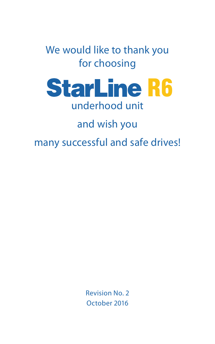We would like to thank you for choosing



and wish you

many successful and safe drives!

Revision No. 2 October 2016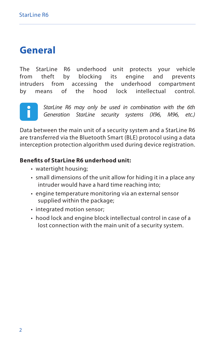# **General**

The StarLine R6 underhood unit protects your vehicle<br>from theft by blocking its engine and prevents from theft by blocking its engine and prevents intruders from accessing the underhood compartment by means of the hood lock intellectual control.



*StarLine R6 may only be used in combination with the 6th Generation StarLine security systems (X96, M96, etc.)*

Data between the main unit of a security system and a StarLine R6 are transferred via the Bluetooth Smart (BLE) protocol using a data interception protection algorithm used during device registration.

#### **Benefits of StarLine R6 underhood unit:**

- watertight housing:
- small dimensions of the unit allow for hiding it in a place any intruder would have a hard time reaching into;
- engine temperature monitoring via an external sensor supplied within the package:
- integrated motion sensor;
- hood lock and engine block intellectual control in case of a lost connection with the main unit of a security system.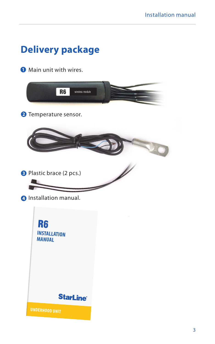# **Delivery package**

Main unit with wires

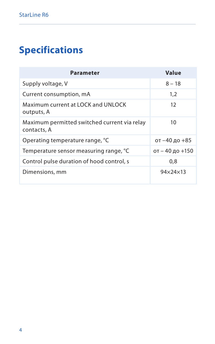# **Specifications**

| <b>Parameter</b>                                            | Value           |
|-------------------------------------------------------------|-----------------|
| Supply voltage, V                                           | $8 - 18$        |
| Current consumption, mA                                     | 1.2             |
| Maximum current at LOCK and UNLOCK<br>outputs, A            | 12              |
| Maximum permitted switched current via relay<br>contacts. A | 10              |
| Operating temperature range, °C                             | от -40 до +85   |
| Temperature sensor measuring range, °C                      | от - 40 до +150 |
| Control pulse duration of hood control, s                   | 0.8             |
| Dimensions, mm                                              | 94×24×13        |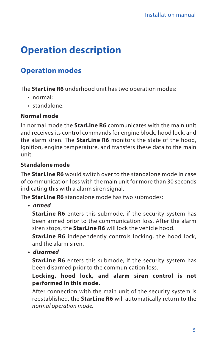# **Operation description**

## **Operation modes**

The **StarLine R6** underhood unit has two operation modes:

- normal;
- standalone.

### **Normal mode**

In normal mode the **StarLine R6** communicates with the main unit and receives its control commands for engine block, hood lock, and the alarm siren. The **StarLine R6** monitors the state of the hood, ignition, engine temperature, and transfers these data to the main unit.

### **Standalone mode**

The **StarLine R6** would switch over to the standalone mode in case of communication loss with the main unit for more than 30 seconds indicating this with a alarm siren signal.

The **StarLine R6** standalone mode has two submodes:

**•**  *armed*

**StarLine R6** enters this submode, if the security system has been armed prior to the communication loss. After the alarm siren stops, the **StarLine R6** will lock the vehicle hood.

**StarLine R6** independently controls locking, the hood lock, and the alarm siren.

**•**  *disarmed*

**StarLine R6** enters this submode, if the security system has been disarmed prior to the communication loss.

#### **Locking, hood lock, and alarm siren control is not performed in this mode.**

After connection with the main unit of the security system is reestablished, the **StarLine R6** will automatically return to the *normal operation mode.*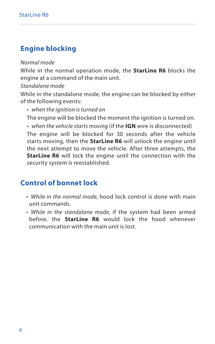## **Engine blocking**

#### *Normal mode*

While in the normal operation mode, the **StarLine R6** blocks the engine at a command of the main unit.

#### *Standalone mode*

While in the standalone mode, the engine can be blocked by either of the following events:

• *when the ignition is turned on*

The engine will be blocked the moment the ignition is turned on.

• *when the vehicle starts moving* (if the **IGN** wire is disconnected)

The engine will be blocked for 30 seconds after the vehicle starts moving, then the **StarLine R6** will unlock the engine until the next attempt to move the vehicle. After three attempts, the **StarLine R6** will lock the engine until the connection with the security system is reestablished.

## **Control of bonnet lock**

- *While in the normal mode,* hood lock control is done with main unit commands.
- *While in the standalone mode,* if the system had been armed before, the **StarLine R6** would lock the hood whenever communication with the main unit is lost.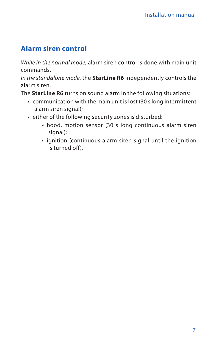### **Alarm siren control**

*While in the normal mode*, alarm siren control is done with main unit commands.

*In the standalone mode*, the **StarLine R6** independently controls the alarm siren.

The **StarLine R6** turns on sound alarm in the following situations:

- communication with the main unit is lost (30 s long intermittent alarm siren signal);
- either of the following security zones is disturbed:
	- hood, motion sensor (30 s long continuous alarm siren signal);
	- ignition (continuous alarm siren signal until the ignition is turned off).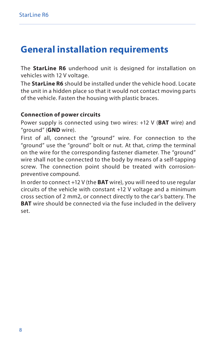# **General installation requirements**

The **StarLine R6** underhood unit is designed for installation on vehicles with 12 V voltage.

The **StarLine R6** should be installed under the vehicle hood. Locate the unit in a hidden place so that it would not contact moving parts of the vehicle. Fasten the housing with plastic braces.

#### **Connection of power circuits**

Power supply is connected using two wires: +12 V (**BAT** wire) and "ground" (**GND** wire).

First of all, connect the "ground" wire. For connection to the "ground" use the "ground" bolt or nut. At that, crimp the terminal on the wire for the corresponding fastener diameter. The "ground" wire shall not be connected to the body by means of a self-tapping screw. The connection point should be treated with corrosionpreventive compound.

In order to connect +12 V (the **BAT** wire), you will need to use regular circuits of the vehicle with constant +12 V voltage and a minimum cross section of 2 mm2, or connect directly to the car's battery. The **BAT** wire should be connected via the fuse included in the delivery set.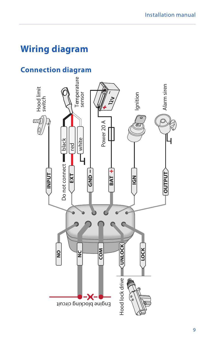# **Wiring diagram**

## **Connection diagram**

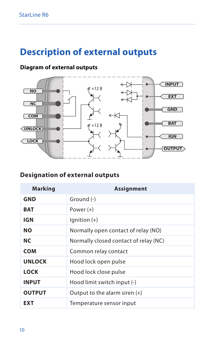# **Description of external outputs**

### **Diagram of external outputs**



## **Designation of external outputs**

| <b>Marking</b> | Assignment                            |
|----------------|---------------------------------------|
| <b>GND</b>     | Ground (-)                            |
| <b>BAT</b>     | Power $(+)$                           |
| IGN            | $l$ qnition $(+)$                     |
| <b>NO</b>      | Normally open contact of relay (NO)   |
| NC.            | Normally closed contact of relay (NC) |
| <b>COM</b>     | Common relay contact                  |
| <b>UNLOCK</b>  | Hood lock open pulse                  |
| LOCK           | Hood lock close pulse                 |
| <b>INPUT</b>   | Hood limit switch input (-)           |
| <b>OUTPUT</b>  | Output to the alarm siren $(+)$       |
| <b>EXT</b>     | Temperature sensor input              |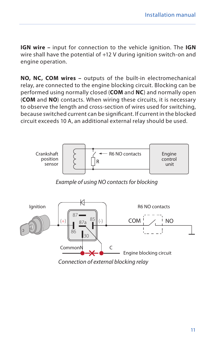**IGN wire –** input for connection to the vehicle ignition. The **IGN** wire shall have the potential of +12 V during ignition switch-on and engine operation.

**NO, NC, COM wires –** outputs of the built-in electromechanical relay, are connected to the engine blocking circuit. Blocking can be performed using normally closed (**COM** and **NC**) and normally open (**COM** and **NO**) contacts. When wiring these circuits, it is necessary to observe the length and cross-section of wires used for switching, because switched current can be significant. If current in the blocked circuit exceeds 10 A, an additional external relay should be used.



*Example of using NO contacts for blocking*

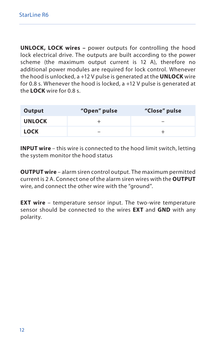**UNLOCK, LOCK wires –** power outputs for controlling the hood lock electrical drive. The outputs are built according to the power scheme (the maximum output current is 12 A), therefore no additional power modules are required for lock control. Whenever the hood is unlocked, a +12 V pulse is generated at the **UNLOCK** wire for 0.8 s. Whenever the hood is locked, a +12 V pulse is generated at the **LOCK** wire for 0.8 s.

| Output        | "Open" pulse | "Close" pulse |
|---------------|--------------|---------------|
| <b>UNLOCK</b> |              | $\sim$        |
| <b>LOCK</b>   | $\sim$       |               |

**INPUT wire** – this wire is connected to the hood limit switch, letting the system monitor the hood status

**OUTPUT wire** – alarm siren control output. The maximum permitted current is 2 A. Connect one of the alarm siren wires with the **OUTPUT** wire, and connect the other wire with the "ground"

**EXT wire** – temperature sensor input. The two-wire temperature sensor should be connected to the wires **EXT** and **GND** with any polarity.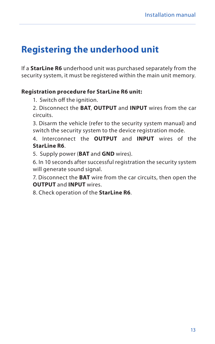# **Registering the underhood unit**

If a **StarLine R6** underhood unit was purchased separately from the security system, it must be registered within the main unit memory.

#### **Registration procedure for StarLine R6 unit:**

1. Switch off the ignition.

2. Disconnect the **ВАТ**, **OUTPUT** and **INPUT** wires from the car circuits.

3. Disarm the vehicle (refer to the security system manual) and switch the security system to the device registration mode.

4. Interconnect the **OUTPUT** and **INPUT** wires of the **StarLine R6**.

5. Supply power (**BAT** and **GND** wires).

6. In 10 seconds after successful registration the security system will generate sound signal.

7. Disconnect the **BAT** wire from the car circuits, then open the **OUTPUT** and **INPUT** wires.

8. Check operation of the **StarLine R6**.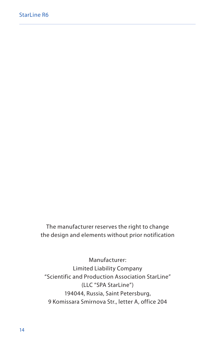The manufacturer reserves the right to change the design and elements without prior notification

Manufacturer: Limited Liability Company "Scientific and Production Association StarLine" (LLC "SPA StarLine") 194044, Russia, Saint Petersburg, 9 Komissara Smirnova Str., letter A, office 204